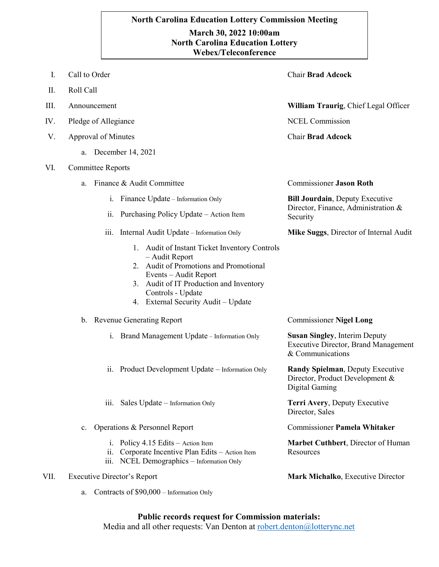## **`.0 Webex/TeleconferenceNorth Carolina Education Lottery Commission Meeting March 30, 2022 10:00am North Carolina Education Lottery**

| Ι.   | Call to Order                                                                                                                                                                                                                             | <b>Chair Brad Adcock</b>                                                                                |
|------|-------------------------------------------------------------------------------------------------------------------------------------------------------------------------------------------------------------------------------------------|---------------------------------------------------------------------------------------------------------|
| П.   | Roll Call                                                                                                                                                                                                                                 |                                                                                                         |
| III. | Announcement                                                                                                                                                                                                                              | <b>William Traurig, Chief Legal Officer</b>                                                             |
| IV.  | Pledge of Allegiance                                                                                                                                                                                                                      | <b>NCEL Commission</b>                                                                                  |
| V.   | Approval of Minutes                                                                                                                                                                                                                       | <b>Chair Brad Adcock</b>                                                                                |
|      | December 14, 2021<br>a.                                                                                                                                                                                                                   |                                                                                                         |
| VI.  | <b>Committee Reports</b>                                                                                                                                                                                                                  |                                                                                                         |
|      | Finance & Audit Committee<br>a.                                                                                                                                                                                                           | <b>Commissioner Jason Roth</b>                                                                          |
|      | Finance Update – Information Only<br>1.                                                                                                                                                                                                   | <b>Bill Jourdain, Deputy Executive</b><br>Director, Finance, Administration &<br>Security               |
|      | Purchasing Policy Update – Action Item<br>$\overline{11}$ .                                                                                                                                                                               |                                                                                                         |
|      | Internal Audit Update – Information Only<br>111.                                                                                                                                                                                          | Mike Suggs, Director of Internal Audit                                                                  |
|      | 1. Audit of Instant Ticket Inventory Controls<br>- Audit Report<br>2. Audit of Promotions and Promotional<br>Events - Audit Report<br>3. Audit of IT Production and Inventory<br>Controls - Update<br>4. External Security Audit - Update |                                                                                                         |
|      | b. Revenue Generating Report                                                                                                                                                                                                              | <b>Commissioner Nigel Long</b>                                                                          |
|      | Brand Management Update - Information Only<br>1.                                                                                                                                                                                          | <b>Susan Singley, Interim Deputy</b><br><b>Executive Director, Brand Management</b><br>& Communications |
|      | ii. Product Development Update – Information Only                                                                                                                                                                                         | Randy Spielman, Deputy Executive<br>Director, Product Development &<br>Digital Gaming                   |
|      | iii. Sales Update - Information Only                                                                                                                                                                                                      | Terri Avery, Deputy Executive<br>Director, Sales                                                        |
|      | Operations & Personnel Report<br>c.                                                                                                                                                                                                       | <b>Commissioner Pamela Whitaker</b>                                                                     |
|      | Policy 4.15 Edits – Action Item<br>1.<br>ii. Corporate Incentive Plan Edits - Action Item<br>iii. NCEL Demographics - Information Only                                                                                                    | Marbet Cuthbert, Director of Human<br>Resources                                                         |
| VII. | <b>Executive Director's Report</b>                                                                                                                                                                                                        | Mark Michalko, Executive Director                                                                       |

a. Contracts of \$90,000 – Information Only

## **Public records request for Commission materials:**

Media and all other requests: Van Denton at [robert.denton@lotterync.net](mailto:robert.denton@lotterync.net)